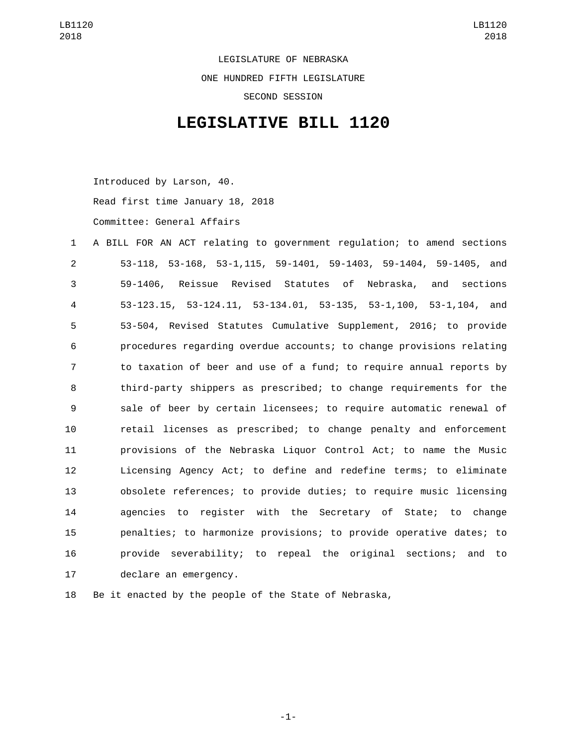LEGISLATURE OF NEBRASKA ONE HUNDRED FIFTH LEGISLATURE SECOND SESSION

## **LEGISLATIVE BILL 1120**

Introduced by Larson, 40.

Read first time January 18, 2018

Committee: General Affairs

 A BILL FOR AN ACT relating to government regulation; to amend sections 53-118, 53-168, 53-1,115, 59-1401, 59-1403, 59-1404, 59-1405, and 59-1406, Reissue Revised Statutes of Nebraska, and sections 53-123.15, 53-124.11, 53-134.01, 53-135, 53-1,100, 53-1,104, and 53-504, Revised Statutes Cumulative Supplement, 2016; to provide procedures regarding overdue accounts; to change provisions relating to taxation of beer and use of a fund; to require annual reports by third-party shippers as prescribed; to change requirements for the sale of beer by certain licensees; to require automatic renewal of retail licenses as prescribed; to change penalty and enforcement provisions of the Nebraska Liquor Control Act; to name the Music Licensing Agency Act; to define and redefine terms; to eliminate obsolete references; to provide duties; to require music licensing agencies to register with the Secretary of State; to change penalties; to harmonize provisions; to provide operative dates; to provide severability; to repeal the original sections; and to 17 declare an emergency.

Be it enacted by the people of the State of Nebraska,

-1-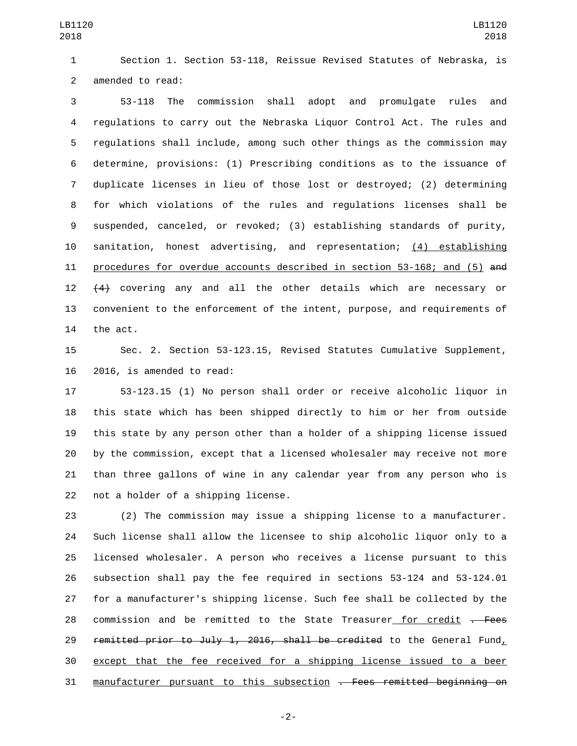Section 1. Section 53-118, Reissue Revised Statutes of Nebraska, is 2 amended to read:

 53-118 The commission shall adopt and promulgate rules and regulations to carry out the Nebraska Liquor Control Act. The rules and regulations shall include, among such other things as the commission may determine, provisions: (1) Prescribing conditions as to the issuance of duplicate licenses in lieu of those lost or destroyed; (2) determining for which violations of the rules and regulations licenses shall be suspended, canceled, or revoked; (3) establishing standards of purity, sanitation, honest advertising, and representation; (4) establishing procedures for overdue accounts described in section 53-168; and (5) and 12 (4) covering any and all the other details which are necessary or convenient to the enforcement of the intent, purpose, and requirements of 14 the act.

 Sec. 2. Section 53-123.15, Revised Statutes Cumulative Supplement, 16 2016, is amended to read:

 53-123.15 (1) No person shall order or receive alcoholic liquor in this state which has been shipped directly to him or her from outside this state by any person other than a holder of a shipping license issued by the commission, except that a licensed wholesaler may receive not more than three gallons of wine in any calendar year from any person who is 22 not a holder of a shipping license.

 (2) The commission may issue a shipping license to a manufacturer. Such license shall allow the licensee to ship alcoholic liquor only to a licensed wholesaler. A person who receives a license pursuant to this subsection shall pay the fee required in sections 53-124 and 53-124.01 for a manufacturer's shipping license. Such fee shall be collected by the 28 commission and be remitted to the State Treasurer for credit . Fees 29 remitted prior to July 1, 2016, shall be credited to the General Fund, except that the fee received for a shipping license issued to a beer manufacturer pursuant to this subsection . Fees remitted beginning on

-2-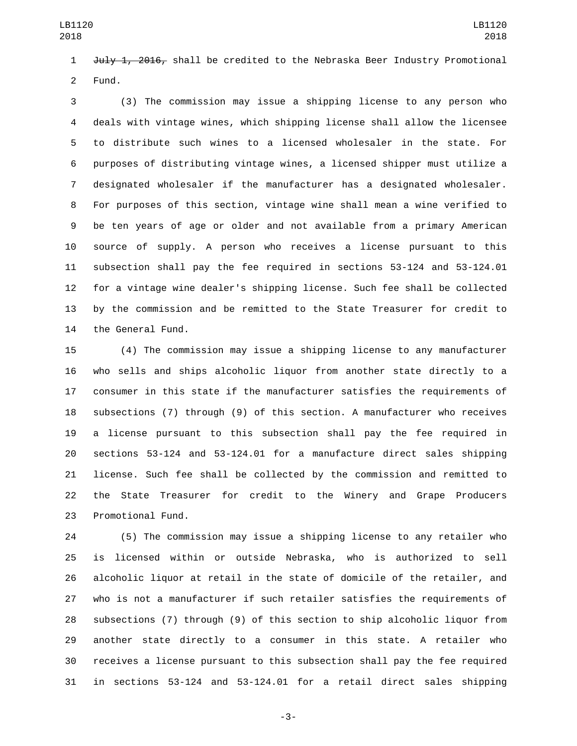July 1, 2016, shall be credited to the Nebraska Beer Industry Promotional 2 Fund.

 (3) The commission may issue a shipping license to any person who deals with vintage wines, which shipping license shall allow the licensee to distribute such wines to a licensed wholesaler in the state. For purposes of distributing vintage wines, a licensed shipper must utilize a designated wholesaler if the manufacturer has a designated wholesaler. For purposes of this section, vintage wine shall mean a wine verified to be ten years of age or older and not available from a primary American source of supply. A person who receives a license pursuant to this subsection shall pay the fee required in sections 53-124 and 53-124.01 for a vintage wine dealer's shipping license. Such fee shall be collected by the commission and be remitted to the State Treasurer for credit to 14 the General Fund.

 (4) The commission may issue a shipping license to any manufacturer who sells and ships alcoholic liquor from another state directly to a consumer in this state if the manufacturer satisfies the requirements of subsections (7) through (9) of this section. A manufacturer who receives a license pursuant to this subsection shall pay the fee required in sections 53-124 and 53-124.01 for a manufacture direct sales shipping license. Such fee shall be collected by the commission and remitted to the State Treasurer for credit to the Winery and Grape Producers 23 Promotional Fund.

 (5) The commission may issue a shipping license to any retailer who is licensed within or outside Nebraska, who is authorized to sell alcoholic liquor at retail in the state of domicile of the retailer, and who is not a manufacturer if such retailer satisfies the requirements of subsections (7) through (9) of this section to ship alcoholic liquor from another state directly to a consumer in this state. A retailer who receives a license pursuant to this subsection shall pay the fee required in sections 53-124 and 53-124.01 for a retail direct sales shipping

-3-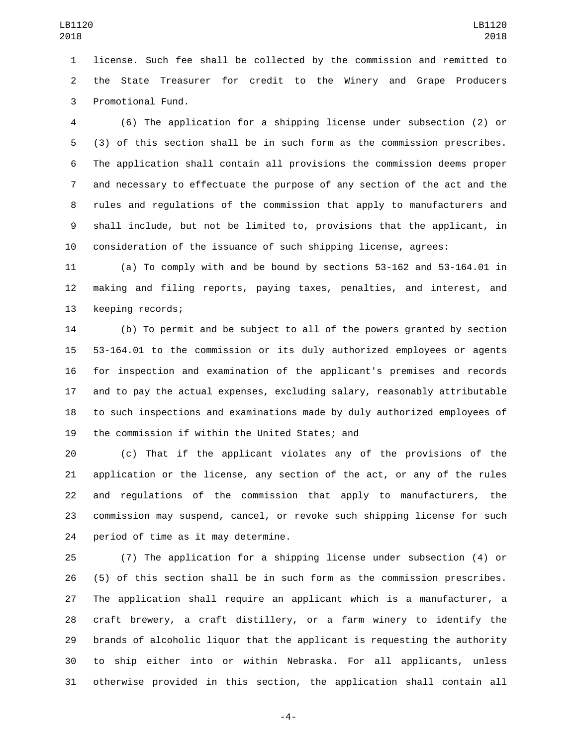license. Such fee shall be collected by the commission and remitted to the State Treasurer for credit to the Winery and Grape Producers 3 Promotional Fund.

 (6) The application for a shipping license under subsection (2) or (3) of this section shall be in such form as the commission prescribes. The application shall contain all provisions the commission deems proper and necessary to effectuate the purpose of any section of the act and the rules and regulations of the commission that apply to manufacturers and shall include, but not be limited to, provisions that the applicant, in consideration of the issuance of such shipping license, agrees:

 (a) To comply with and be bound by sections 53-162 and 53-164.01 in making and filing reports, paying taxes, penalties, and interest, and 13 keeping records;

 (b) To permit and be subject to all of the powers granted by section 53-164.01 to the commission or its duly authorized employees or agents for inspection and examination of the applicant's premises and records and to pay the actual expenses, excluding salary, reasonably attributable to such inspections and examinations made by duly authorized employees of 19 the commission if within the United States; and

 (c) That if the applicant violates any of the provisions of the application or the license, any section of the act, or any of the rules and regulations of the commission that apply to manufacturers, the commission may suspend, cancel, or revoke such shipping license for such 24 period of time as it may determine.

 (7) The application for a shipping license under subsection (4) or (5) of this section shall be in such form as the commission prescribes. The application shall require an applicant which is a manufacturer, a craft brewery, a craft distillery, or a farm winery to identify the brands of alcoholic liquor that the applicant is requesting the authority to ship either into or within Nebraska. For all applicants, unless otherwise provided in this section, the application shall contain all

-4-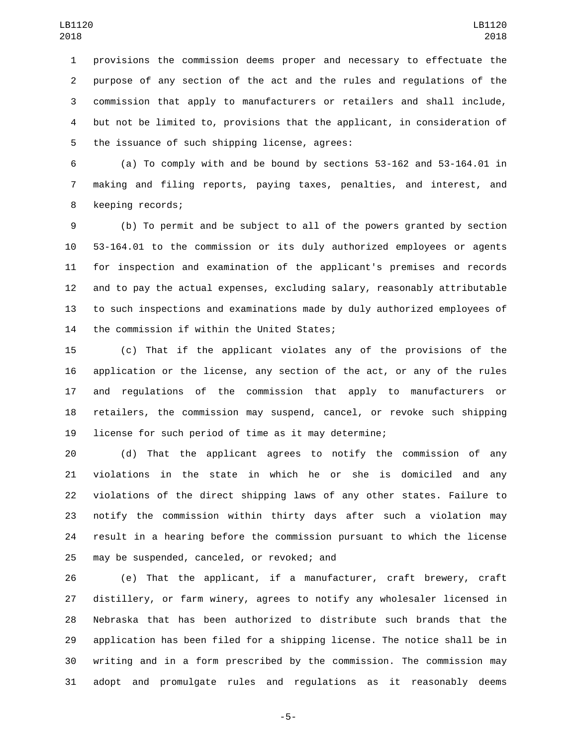provisions the commission deems proper and necessary to effectuate the purpose of any section of the act and the rules and regulations of the commission that apply to manufacturers or retailers and shall include, but not be limited to, provisions that the applicant, in consideration of 5 the issuance of such shipping license, agrees:

 (a) To comply with and be bound by sections 53-162 and 53-164.01 in making and filing reports, paying taxes, penalties, and interest, and 8 keeping records;

 (b) To permit and be subject to all of the powers granted by section 53-164.01 to the commission or its duly authorized employees or agents for inspection and examination of the applicant's premises and records and to pay the actual expenses, excluding salary, reasonably attributable to such inspections and examinations made by duly authorized employees of 14 the commission if within the United States;

 (c) That if the applicant violates any of the provisions of the application or the license, any section of the act, or any of the rules and regulations of the commission that apply to manufacturers or retailers, the commission may suspend, cancel, or revoke such shipping license for such period of time as it may determine;

 (d) That the applicant agrees to notify the commission of any violations in the state in which he or she is domiciled and any violations of the direct shipping laws of any other states. Failure to notify the commission within thirty days after such a violation may result in a hearing before the commission pursuant to which the license 25 may be suspended, canceled, or revoked; and

 (e) That the applicant, if a manufacturer, craft brewery, craft distillery, or farm winery, agrees to notify any wholesaler licensed in Nebraska that has been authorized to distribute such brands that the application has been filed for a shipping license. The notice shall be in writing and in a form prescribed by the commission. The commission may adopt and promulgate rules and regulations as it reasonably deems

-5-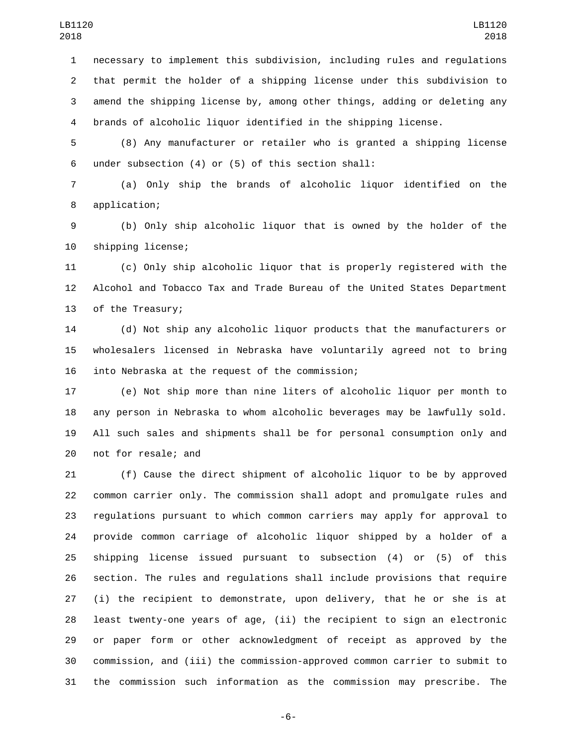necessary to implement this subdivision, including rules and regulations that permit the holder of a shipping license under this subdivision to amend the shipping license by, among other things, adding or deleting any brands of alcoholic liquor identified in the shipping license.

 (8) Any manufacturer or retailer who is granted a shipping license under subsection (4) or (5) of this section shall:6

 (a) Only ship the brands of alcoholic liquor identified on the 8 application;

 (b) Only ship alcoholic liquor that is owned by the holder of the 10 shipping license;

 (c) Only ship alcoholic liquor that is properly registered with the Alcohol and Tobacco Tax and Trade Bureau of the United States Department 13 of the Treasury;

 (d) Not ship any alcoholic liquor products that the manufacturers or wholesalers licensed in Nebraska have voluntarily agreed not to bring 16 into Nebraska at the request of the commission;

 (e) Not ship more than nine liters of alcoholic liquor per month to any person in Nebraska to whom alcoholic beverages may be lawfully sold. All such sales and shipments shall be for personal consumption only and 20 not for resale; and

 (f) Cause the direct shipment of alcoholic liquor to be by approved common carrier only. The commission shall adopt and promulgate rules and regulations pursuant to which common carriers may apply for approval to provide common carriage of alcoholic liquor shipped by a holder of a shipping license issued pursuant to subsection (4) or (5) of this section. The rules and regulations shall include provisions that require (i) the recipient to demonstrate, upon delivery, that he or she is at least twenty-one years of age, (ii) the recipient to sign an electronic or paper form or other acknowledgment of receipt as approved by the commission, and (iii) the commission-approved common carrier to submit to the commission such information as the commission may prescribe. The

-6-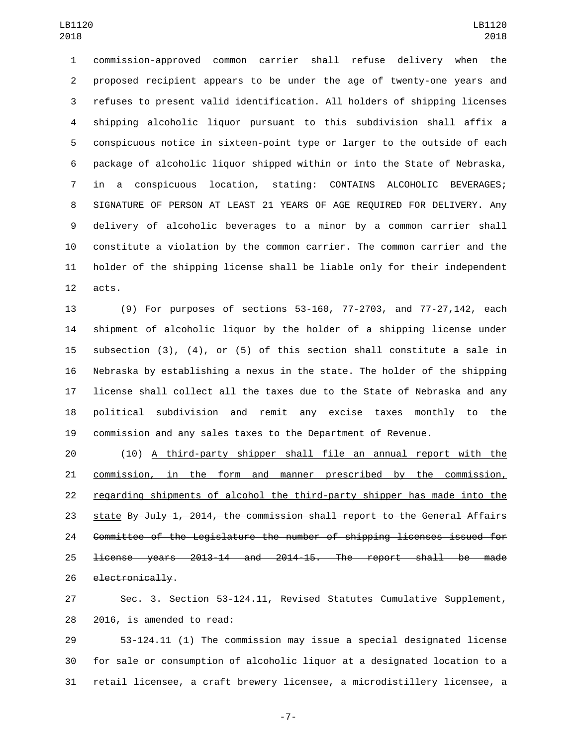commission-approved common carrier shall refuse delivery when the proposed recipient appears to be under the age of twenty-one years and refuses to present valid identification. All holders of shipping licenses shipping alcoholic liquor pursuant to this subdivision shall affix a conspicuous notice in sixteen-point type or larger to the outside of each package of alcoholic liquor shipped within or into the State of Nebraska, in a conspicuous location, stating: CONTAINS ALCOHOLIC BEVERAGES; SIGNATURE OF PERSON AT LEAST 21 YEARS OF AGE REQUIRED FOR DELIVERY. Any delivery of alcoholic beverages to a minor by a common carrier shall constitute a violation by the common carrier. The common carrier and the holder of the shipping license shall be liable only for their independent 12 acts.

 (9) For purposes of sections 53-160, 77-2703, and 77-27,142, each shipment of alcoholic liquor by the holder of a shipping license under subsection (3), (4), or (5) of this section shall constitute a sale in Nebraska by establishing a nexus in the state. The holder of the shipping license shall collect all the taxes due to the State of Nebraska and any political subdivision and remit any excise taxes monthly to the commission and any sales taxes to the Department of Revenue.

 (10) A third-party shipper shall file an annual report with the commission, in the form and manner prescribed by the commission, regarding shipments of alcohol the third-party shipper has made into the 23 state By July 1, 2014, the commission shall report to the General Affairs Committee of the Legislature the number of shipping licenses issued for license years 2013-14 and 2014-15. The report shall be made 26 electronically.

 Sec. 3. Section 53-124.11, Revised Statutes Cumulative Supplement, 28 2016, is amended to read:

 53-124.11 (1) The commission may issue a special designated license for sale or consumption of alcoholic liquor at a designated location to a retail licensee, a craft brewery licensee, a microdistillery licensee, a

-7-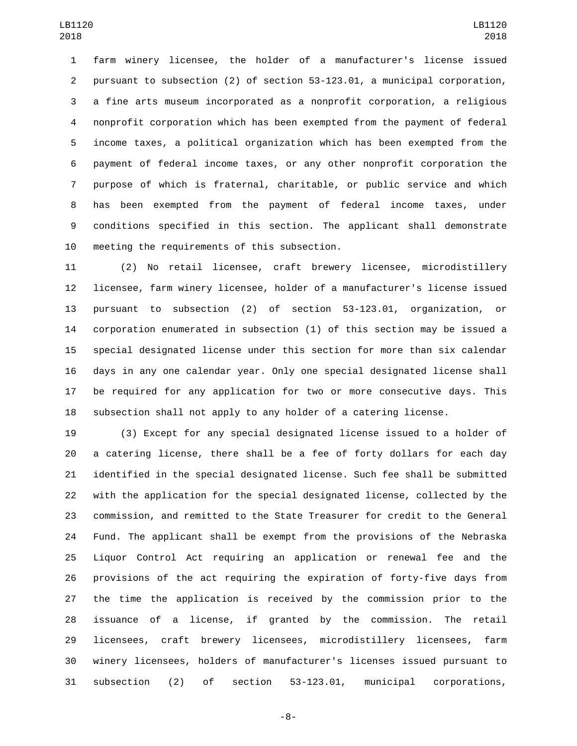farm winery licensee, the holder of a manufacturer's license issued pursuant to subsection (2) of section 53-123.01, a municipal corporation, a fine arts museum incorporated as a nonprofit corporation, a religious nonprofit corporation which has been exempted from the payment of federal income taxes, a political organization which has been exempted from the payment of federal income taxes, or any other nonprofit corporation the purpose of which is fraternal, charitable, or public service and which has been exempted from the payment of federal income taxes, under conditions specified in this section. The applicant shall demonstrate 10 meeting the requirements of this subsection.

 (2) No retail licensee, craft brewery licensee, microdistillery licensee, farm winery licensee, holder of a manufacturer's license issued pursuant to subsection (2) of section 53-123.01, organization, or corporation enumerated in subsection (1) of this section may be issued a special designated license under this section for more than six calendar days in any one calendar year. Only one special designated license shall be required for any application for two or more consecutive days. This subsection shall not apply to any holder of a catering license.

 (3) Except for any special designated license issued to a holder of a catering license, there shall be a fee of forty dollars for each day identified in the special designated license. Such fee shall be submitted with the application for the special designated license, collected by the commission, and remitted to the State Treasurer for credit to the General Fund. The applicant shall be exempt from the provisions of the Nebraska Liquor Control Act requiring an application or renewal fee and the provisions of the act requiring the expiration of forty-five days from the time the application is received by the commission prior to the issuance of a license, if granted by the commission. The retail licensees, craft brewery licensees, microdistillery licensees, farm winery licensees, holders of manufacturer's licenses issued pursuant to subsection (2) of section 53-123.01, municipal corporations,

-8-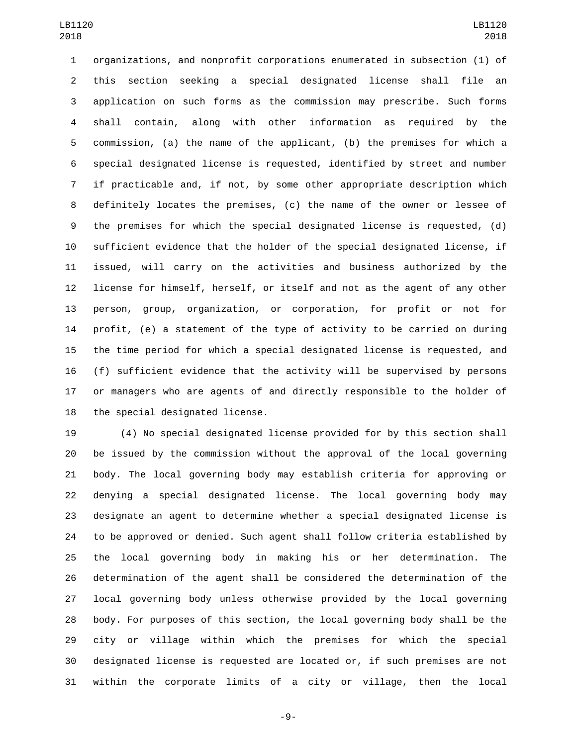organizations, and nonprofit corporations enumerated in subsection (1) of this section seeking a special designated license shall file an application on such forms as the commission may prescribe. Such forms shall contain, along with other information as required by the commission, (a) the name of the applicant, (b) the premises for which a special designated license is requested, identified by street and number if practicable and, if not, by some other appropriate description which definitely locates the premises, (c) the name of the owner or lessee of the premises for which the special designated license is requested, (d) sufficient evidence that the holder of the special designated license, if issued, will carry on the activities and business authorized by the license for himself, herself, or itself and not as the agent of any other person, group, organization, or corporation, for profit or not for profit, (e) a statement of the type of activity to be carried on during the time period for which a special designated license is requested, and (f) sufficient evidence that the activity will be supervised by persons or managers who are agents of and directly responsible to the holder of 18 the special designated license.

 (4) No special designated license provided for by this section shall be issued by the commission without the approval of the local governing body. The local governing body may establish criteria for approving or denying a special designated license. The local governing body may designate an agent to determine whether a special designated license is to be approved or denied. Such agent shall follow criteria established by the local governing body in making his or her determination. The determination of the agent shall be considered the determination of the local governing body unless otherwise provided by the local governing body. For purposes of this section, the local governing body shall be the city or village within which the premises for which the special designated license is requested are located or, if such premises are not within the corporate limits of a city or village, then the local

-9-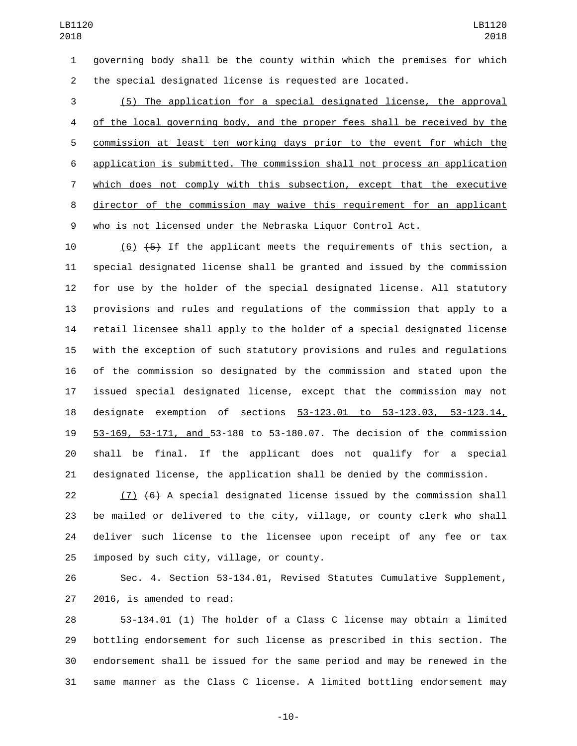governing body shall be the county within which the premises for which the special designated license is requested are located.

 (5) The application for a special designated license, the approval of the local governing body, and the proper fees shall be received by the commission at least ten working days prior to the event for which the application is submitted. The commission shall not process an application which does not comply with this subsection, except that the executive director of the commission may waive this requirement for an applicant who is not licensed under the Nebraska Liquor Control Act.

10 (6)  $(5)$  If the applicant meets the requirements of this section, a special designated license shall be granted and issued by the commission for use by the holder of the special designated license. All statutory provisions and rules and regulations of the commission that apply to a retail licensee shall apply to the holder of a special designated license with the exception of such statutory provisions and rules and regulations of the commission so designated by the commission and stated upon the issued special designated license, except that the commission may not designate exemption of sections 53-123.01 to 53-123.03, 53-123.14, 53-169, 53-171, and 53-180 to 53-180.07. The decision of the commission shall be final. If the applicant does not qualify for a special designated license, the application shall be denied by the commission.

 $(7)$   $(6)$  A special designated license issued by the commission shall be mailed or delivered to the city, village, or county clerk who shall deliver such license to the licensee upon receipt of any fee or tax 25 imposed by such city, village, or county.

 Sec. 4. Section 53-134.01, Revised Statutes Cumulative Supplement, 27 2016, is amended to read:

 53-134.01 (1) The holder of a Class C license may obtain a limited bottling endorsement for such license as prescribed in this section. The endorsement shall be issued for the same period and may be renewed in the same manner as the Class C license. A limited bottling endorsement may

-10-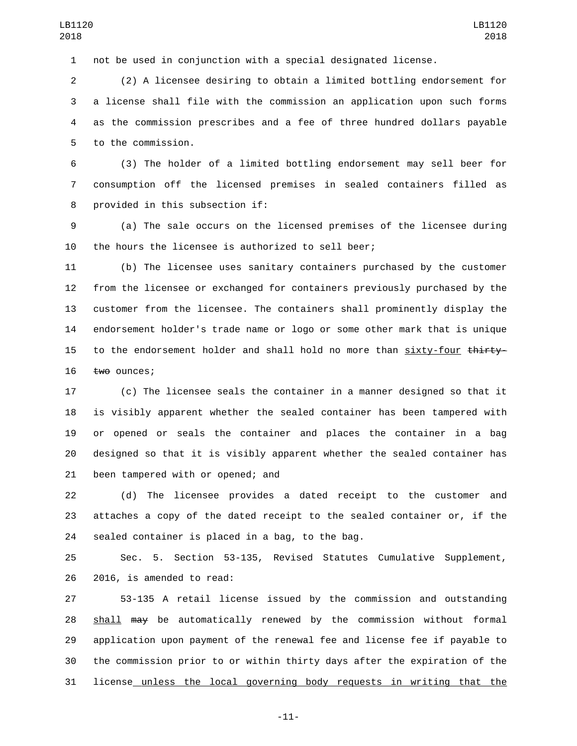not be used in conjunction with a special designated license.

 (2) A licensee desiring to obtain a limited bottling endorsement for a license shall file with the commission an application upon such forms as the commission prescribes and a fee of three hundred dollars payable 5 to the commission.

 (3) The holder of a limited bottling endorsement may sell beer for consumption off the licensed premises in sealed containers filled as 8 provided in this subsection if:

 (a) The sale occurs on the licensed premises of the licensee during the hours the licensee is authorized to sell beer;

 (b) The licensee uses sanitary containers purchased by the customer from the licensee or exchanged for containers previously purchased by the customer from the licensee. The containers shall prominently display the endorsement holder's trade name or logo or some other mark that is unique 15 to the endorsement holder and shall hold no more than sixty-four thirty-16 two ounces;

 (c) The licensee seals the container in a manner designed so that it is visibly apparent whether the sealed container has been tampered with or opened or seals the container and places the container in a bag designed so that it is visibly apparent whether the sealed container has 21 been tampered with or opened; and

 (d) The licensee provides a dated receipt to the customer and attaches a copy of the dated receipt to the sealed container or, if the 24 sealed container is placed in a bag, to the bag.

 Sec. 5. Section 53-135, Revised Statutes Cumulative Supplement, 26 2016, is amended to read:

 53-135 A retail license issued by the commission and outstanding 28 shall may be automatically renewed by the commission without formal application upon payment of the renewal fee and license fee if payable to the commission prior to or within thirty days after the expiration of the license unless the local governing body requests in writing that the

-11-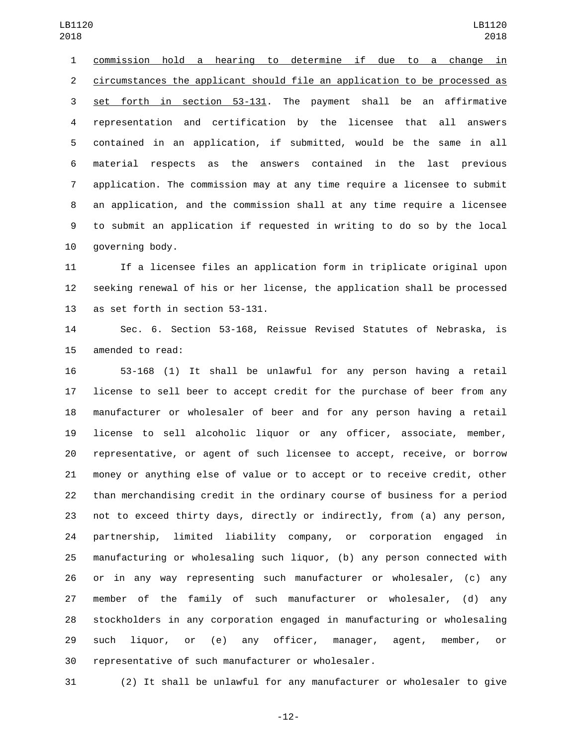commission hold a hearing to determine if due to a change in circumstances the applicant should file an application to be processed as set forth in section 53-131. The payment shall be an affirmative representation and certification by the licensee that all answers contained in an application, if submitted, would be the same in all material respects as the answers contained in the last previous application. The commission may at any time require a licensee to submit an application, and the commission shall at any time require a licensee to submit an application if requested in writing to do so by the local 10 governing body.

 If a licensee files an application form in triplicate original upon seeking renewal of his or her license, the application shall be processed 13 as set forth in section 53-131.

 Sec. 6. Section 53-168, Reissue Revised Statutes of Nebraska, is 15 amended to read:

 53-168 (1) It shall be unlawful for any person having a retail license to sell beer to accept credit for the purchase of beer from any manufacturer or wholesaler of beer and for any person having a retail license to sell alcoholic liquor or any officer, associate, member, representative, or agent of such licensee to accept, receive, or borrow money or anything else of value or to accept or to receive credit, other than merchandising credit in the ordinary course of business for a period not to exceed thirty days, directly or indirectly, from (a) any person, partnership, limited liability company, or corporation engaged in manufacturing or wholesaling such liquor, (b) any person connected with or in any way representing such manufacturer or wholesaler, (c) any member of the family of such manufacturer or wholesaler, (d) any stockholders in any corporation engaged in manufacturing or wholesaling such liquor, or (e) any officer, manager, agent, member, or representative of such manufacturer or wholesaler.

(2) It shall be unlawful for any manufacturer or wholesaler to give

-12-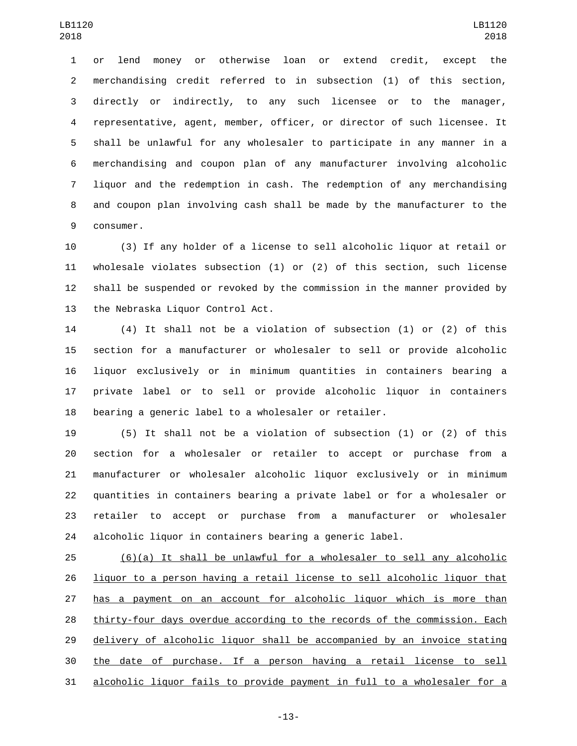or lend money or otherwise loan or extend credit, except the merchandising credit referred to in subsection (1) of this section, directly or indirectly, to any such licensee or to the manager, representative, agent, member, officer, or director of such licensee. It shall be unlawful for any wholesaler to participate in any manner in a merchandising and coupon plan of any manufacturer involving alcoholic liquor and the redemption in cash. The redemption of any merchandising and coupon plan involving cash shall be made by the manufacturer to the 9 consumer.

 (3) If any holder of a license to sell alcoholic liquor at retail or wholesale violates subsection (1) or (2) of this section, such license shall be suspended or revoked by the commission in the manner provided by 13 the Nebraska Liquor Control Act.

 (4) It shall not be a violation of subsection (1) or (2) of this section for a manufacturer or wholesaler to sell or provide alcoholic liquor exclusively or in minimum quantities in containers bearing a private label or to sell or provide alcoholic liquor in containers bearing a generic label to a wholesaler or retailer.

 (5) It shall not be a violation of subsection (1) or (2) of this section for a wholesaler or retailer to accept or purchase from a manufacturer or wholesaler alcoholic liquor exclusively or in minimum quantities in containers bearing a private label or for a wholesaler or retailer to accept or purchase from a manufacturer or wholesaler alcoholic liquor in containers bearing a generic label.

 (6)(a) It shall be unlawful for a wholesaler to sell any alcoholic liquor to a person having a retail license to sell alcoholic liquor that has a payment on an account for alcoholic liquor which is more than thirty-four days overdue according to the records of the commission. Each delivery of alcoholic liquor shall be accompanied by an invoice stating the date of purchase. If a person having a retail license to sell alcoholic liquor fails to provide payment in full to a wholesaler for a

-13-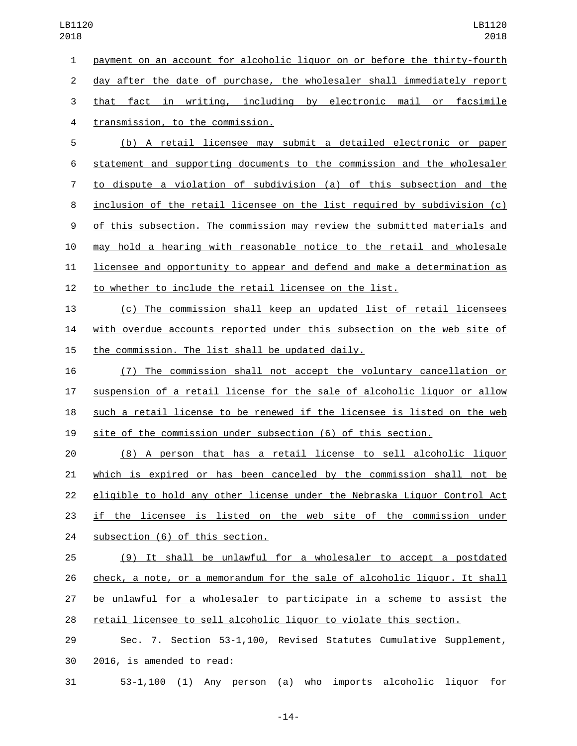payment on an account for alcoholic liquor on or before the thirty-fourth day after the date of purchase, the wholesaler shall immediately report that fact in writing, including by electronic mail or facsimile 4 transmission, to the commission.

 (b) A retail licensee may submit a detailed electronic or paper statement and supporting documents to the commission and the wholesaler to dispute a violation of subdivision (a) of this subsection and the inclusion of the retail licensee on the list required by subdivision (c) of this subsection. The commission may review the submitted materials and may hold a hearing with reasonable notice to the retail and wholesale licensee and opportunity to appear and defend and make a determination as to whether to include the retail licensee on the list.

 (c) The commission shall keep an updated list of retail licensees with overdue accounts reported under this subsection on the web site of 15 the commission. The list shall be updated daily.

 (7) The commission shall not accept the voluntary cancellation or suspension of a retail license for the sale of alcoholic liquor or allow such a retail license to be renewed if the licensee is listed on the web site of the commission under subsection (6) of this section.

 (8) A person that has a retail license to sell alcoholic liquor which is expired or has been canceled by the commission shall not be eligible to hold any other license under the Nebraska Liquor Control Act 23 if the licensee is listed on the web site of the commission under 24 subsection (6) of this section.

 (9) It shall be unlawful for a wholesaler to accept a postdated check, a note, or a memorandum for the sale of alcoholic liquor. It shall be unlawful for a wholesaler to participate in a scheme to assist the retail licensee to sell alcoholic liquor to violate this section.

 Sec. 7. Section 53-1,100, Revised Statutes Cumulative Supplement, 30 2016, is amended to read:

53-1,100 (1) Any person (a) who imports alcoholic liquor for

-14-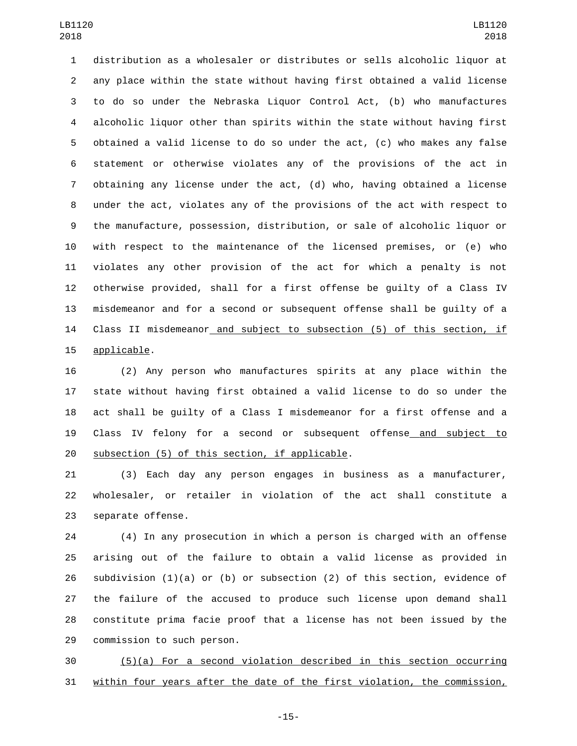distribution as a wholesaler or distributes or sells alcoholic liquor at any place within the state without having first obtained a valid license to do so under the Nebraska Liquor Control Act, (b) who manufactures alcoholic liquor other than spirits within the state without having first obtained a valid license to do so under the act, (c) who makes any false statement or otherwise violates any of the provisions of the act in obtaining any license under the act, (d) who, having obtained a license under the act, violates any of the provisions of the act with respect to the manufacture, possession, distribution, or sale of alcoholic liquor or with respect to the maintenance of the licensed premises, or (e) who violates any other provision of the act for which a penalty is not otherwise provided, shall for a first offense be guilty of a Class IV misdemeanor and for a second or subsequent offense shall be guilty of a Class II misdemeanor and subject to subsection (5) of this section, if 15 applicable.

 (2) Any person who manufactures spirits at any place within the state without having first obtained a valid license to do so under the act shall be guilty of a Class I misdemeanor for a first offense and a Class IV felony for a second or subsequent offense and subject to subsection (5) of this section, if applicable.

 (3) Each day any person engages in business as a manufacturer, wholesaler, or retailer in violation of the act shall constitute a 23 separate offense.

 (4) In any prosecution in which a person is charged with an offense arising out of the failure to obtain a valid license as provided in 26 subdivision  $(1)(a)$  or  $(b)$  or subsection  $(2)$  of this section, evidence of the failure of the accused to produce such license upon demand shall constitute prima facie proof that a license has not been issued by the 29 commission to such person.

 (5)(a) For a second violation described in this section occurring within four years after the date of the first violation, the commission,

-15-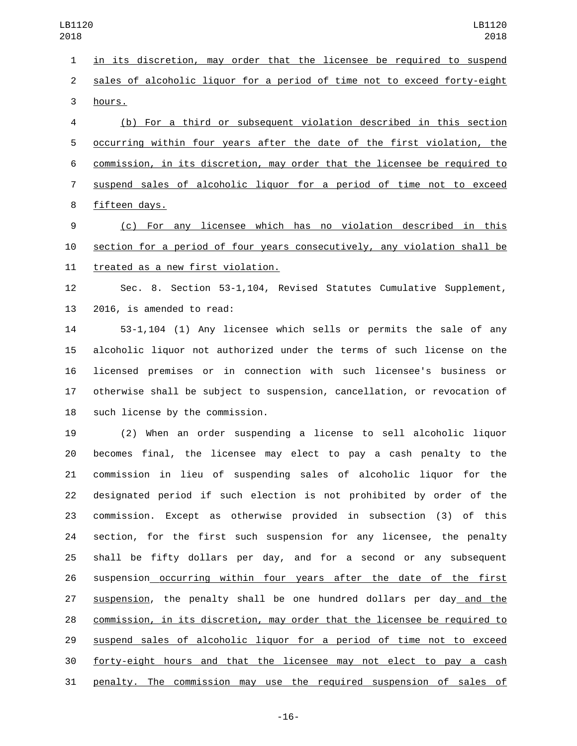in its discretion, may order that the licensee be required to suspend sales of alcoholic liquor for a period of time not to exceed forty-eight 3 hours.

 (b) For a third or subsequent violation described in this section occurring within four years after the date of the first violation, the commission, in its discretion, may order that the licensee be required to suspend sales of alcoholic liquor for a period of time not to exceed 8 fifteen days.

 (c) For any licensee which has no violation described in this section for a period of four years consecutively, any violation shall be 11 treated as a new first violation.

 Sec. 8. Section 53-1,104, Revised Statutes Cumulative Supplement, 13 2016, is amended to read:

 53-1,104 (1) Any licensee which sells or permits the sale of any alcoholic liquor not authorized under the terms of such license on the licensed premises or in connection with such licensee's business or otherwise shall be subject to suspension, cancellation, or revocation of 18 such license by the commission.

 (2) When an order suspending a license to sell alcoholic liquor becomes final, the licensee may elect to pay a cash penalty to the commission in lieu of suspending sales of alcoholic liquor for the designated period if such election is not prohibited by order of the commission. Except as otherwise provided in subsection (3) of this section, for the first such suspension for any licensee, the penalty shall be fifty dollars per day, and for a second or any subsequent suspension occurring within four years after the date of the first suspension, the penalty shall be one hundred dollars per day and the commission, in its discretion, may order that the licensee be required to suspend sales of alcoholic liquor for a period of time not to exceed forty-eight hours and that the licensee may not elect to pay a cash penalty. The commission may use the required suspension of sales of

-16-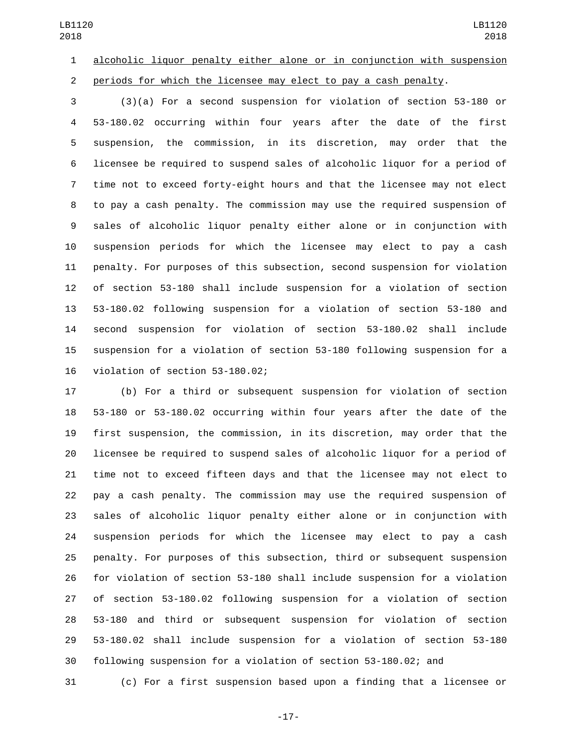alcoholic liquor penalty either alone or in conjunction with suspension periods for which the licensee may elect to pay a cash penalty.

 (3)(a) For a second suspension for violation of section 53-180 or 53-180.02 occurring within four years after the date of the first suspension, the commission, in its discretion, may order that the licensee be required to suspend sales of alcoholic liquor for a period of time not to exceed forty-eight hours and that the licensee may not elect to pay a cash penalty. The commission may use the required suspension of sales of alcoholic liquor penalty either alone or in conjunction with suspension periods for which the licensee may elect to pay a cash penalty. For purposes of this subsection, second suspension for violation of section 53-180 shall include suspension for a violation of section 53-180.02 following suspension for a violation of section 53-180 and second suspension for violation of section 53-180.02 shall include suspension for a violation of section 53-180 following suspension for a 16 violation of section 53-180.02;

 (b) For a third or subsequent suspension for violation of section 53-180 or 53-180.02 occurring within four years after the date of the first suspension, the commission, in its discretion, may order that the licensee be required to suspend sales of alcoholic liquor for a period of time not to exceed fifteen days and that the licensee may not elect to pay a cash penalty. The commission may use the required suspension of sales of alcoholic liquor penalty either alone or in conjunction with suspension periods for which the licensee may elect to pay a cash penalty. For purposes of this subsection, third or subsequent suspension for violation of section 53-180 shall include suspension for a violation of section 53-180.02 following suspension for a violation of section 53-180 and third or subsequent suspension for violation of section 53-180.02 shall include suspension for a violation of section 53-180 following suspension for a violation of section 53-180.02; and

(c) For a first suspension based upon a finding that a licensee or

-17-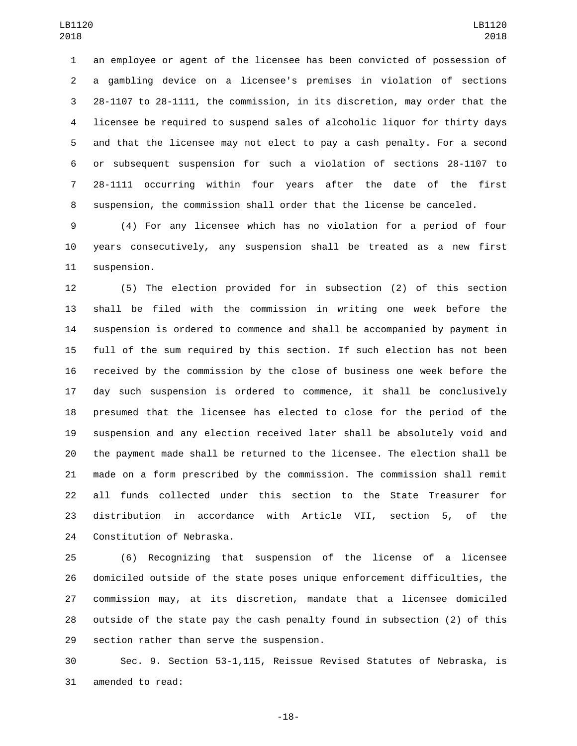an employee or agent of the licensee has been convicted of possession of a gambling device on a licensee's premises in violation of sections 28-1107 to 28-1111, the commission, in its discretion, may order that the licensee be required to suspend sales of alcoholic liquor for thirty days and that the licensee may not elect to pay a cash penalty. For a second or subsequent suspension for such a violation of sections 28-1107 to 28-1111 occurring within four years after the date of the first suspension, the commission shall order that the license be canceled.

 (4) For any licensee which has no violation for a period of four years consecutively, any suspension shall be treated as a new first 11 suspension.

 (5) The election provided for in subsection (2) of this section shall be filed with the commission in writing one week before the suspension is ordered to commence and shall be accompanied by payment in full of the sum required by this section. If such election has not been received by the commission by the close of business one week before the day such suspension is ordered to commence, it shall be conclusively presumed that the licensee has elected to close for the period of the suspension and any election received later shall be absolutely void and the payment made shall be returned to the licensee. The election shall be made on a form prescribed by the commission. The commission shall remit all funds collected under this section to the State Treasurer for distribution in accordance with Article VII, section 5, of the 24 Constitution of Nebraska.

 (6) Recognizing that suspension of the license of a licensee domiciled outside of the state poses unique enforcement difficulties, the commission may, at its discretion, mandate that a licensee domiciled outside of the state pay the cash penalty found in subsection (2) of this 29 section rather than serve the suspension.

 Sec. 9. Section 53-1,115, Reissue Revised Statutes of Nebraska, is 31 amended to read:

-18-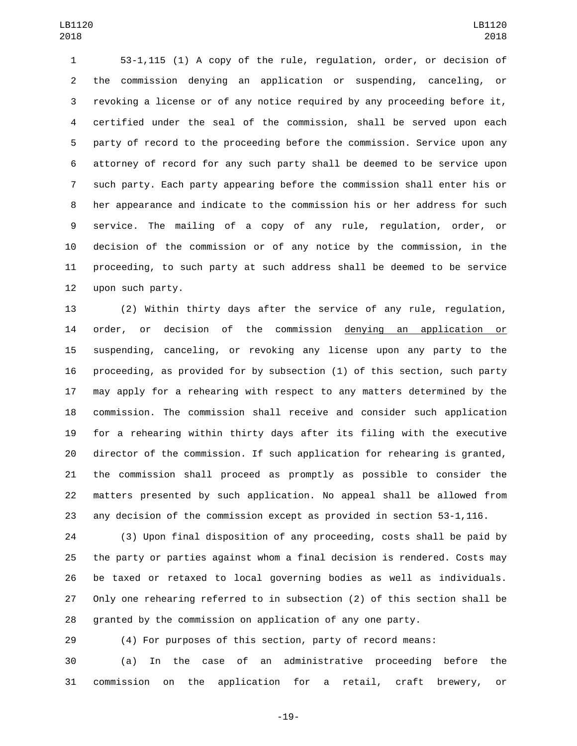53-1,115 (1) A copy of the rule, regulation, order, or decision of the commission denying an application or suspending, canceling, or revoking a license or of any notice required by any proceeding before it, certified under the seal of the commission, shall be served upon each party of record to the proceeding before the commission. Service upon any attorney of record for any such party shall be deemed to be service upon such party. Each party appearing before the commission shall enter his or her appearance and indicate to the commission his or her address for such service. The mailing of a copy of any rule, regulation, order, or decision of the commission or of any notice by the commission, in the proceeding, to such party at such address shall be deemed to be service 12 upon such party.

 (2) Within thirty days after the service of any rule, regulation, order, or decision of the commission denying an application or suspending, canceling, or revoking any license upon any party to the proceeding, as provided for by subsection (1) of this section, such party may apply for a rehearing with respect to any matters determined by the commission. The commission shall receive and consider such application for a rehearing within thirty days after its filing with the executive director of the commission. If such application for rehearing is granted, the commission shall proceed as promptly as possible to consider the matters presented by such application. No appeal shall be allowed from any decision of the commission except as provided in section 53-1,116.

 (3) Upon final disposition of any proceeding, costs shall be paid by the party or parties against whom a final decision is rendered. Costs may be taxed or retaxed to local governing bodies as well as individuals. Only one rehearing referred to in subsection (2) of this section shall be granted by the commission on application of any one party.

(4) For purposes of this section, party of record means:

 (a) In the case of an administrative proceeding before the commission on the application for a retail, craft brewery, or

-19-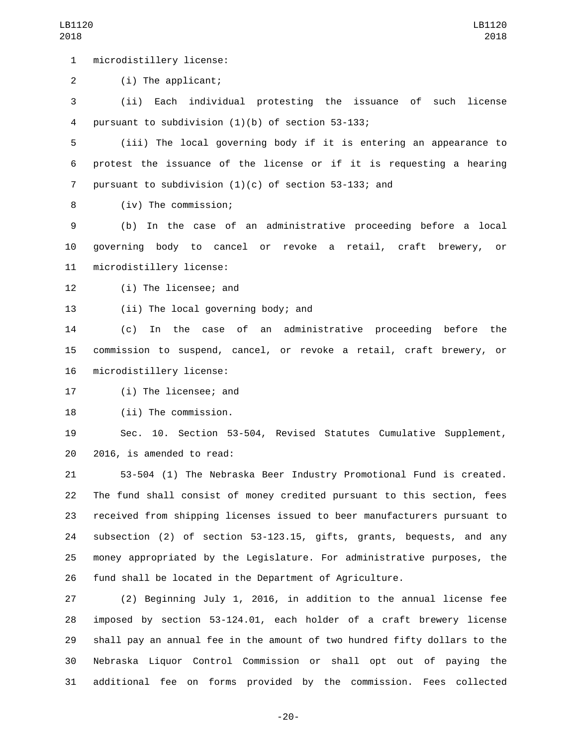1 microdistillery license:

(i) The applicant;2

 (ii) Each individual protesting the issuance of such license 4 pursuant to subdivision  $(1)(b)$  of section 53-133;

 (iii) The local governing body if it is entering an appearance to protest the issuance of the license or if it is requesting a hearing pursuant to subdivision (1)(c) of section 53-133; and

(iv) The commission;8

 (b) In the case of an administrative proceeding before a local governing body to cancel or revoke a retail, craft brewery, or 11 microdistillery license:

12 (i) The licensee; and

13 (ii) The local governing body; and

 (c) In the case of an administrative proceeding before the commission to suspend, cancel, or revoke a retail, craft brewery, or 16 microdistillery license:

17 (i) The licensee; and

18 (ii) The commission.

 Sec. 10. Section 53-504, Revised Statutes Cumulative Supplement, 20 2016, is amended to read:

 53-504 (1) The Nebraska Beer Industry Promotional Fund is created. The fund shall consist of money credited pursuant to this section, fees received from shipping licenses issued to beer manufacturers pursuant to subsection (2) of section 53-123.15, gifts, grants, bequests, and any money appropriated by the Legislature. For administrative purposes, the fund shall be located in the Department of Agriculture.

 (2) Beginning July 1, 2016, in addition to the annual license fee imposed by section 53-124.01, each holder of a craft brewery license shall pay an annual fee in the amount of two hundred fifty dollars to the Nebraska Liquor Control Commission or shall opt out of paying the additional fee on forms provided by the commission. Fees collected

-20-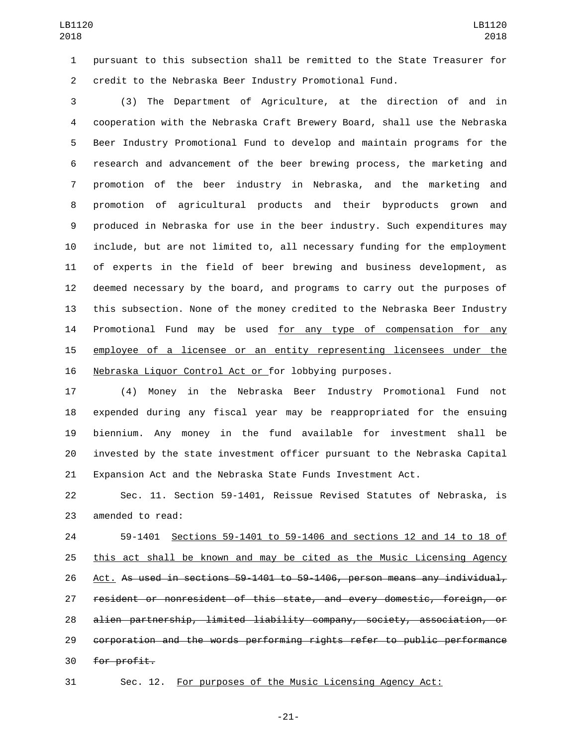pursuant to this subsection shall be remitted to the State Treasurer for credit to the Nebraska Beer Industry Promotional Fund.

 (3) The Department of Agriculture, at the direction of and in cooperation with the Nebraska Craft Brewery Board, shall use the Nebraska Beer Industry Promotional Fund to develop and maintain programs for the research and advancement of the beer brewing process, the marketing and promotion of the beer industry in Nebraska, and the marketing and promotion of agricultural products and their byproducts grown and produced in Nebraska for use in the beer industry. Such expenditures may include, but are not limited to, all necessary funding for the employment of experts in the field of beer brewing and business development, as deemed necessary by the board, and programs to carry out the purposes of this subsection. None of the money credited to the Nebraska Beer Industry 14 Promotional Fund may be used for any type of compensation for any employee of a licensee or an entity representing licensees under the Nebraska Liquor Control Act or for lobbying purposes.

 (4) Money in the Nebraska Beer Industry Promotional Fund not expended during any fiscal year may be reappropriated for the ensuing biennium. Any money in the fund available for investment shall be invested by the state investment officer pursuant to the Nebraska Capital Expansion Act and the Nebraska State Funds Investment Act.

 Sec. 11. Section 59-1401, Reissue Revised Statutes of Nebraska, is 23 amended to read:

 59-1401 Sections 59-1401 to 59-1406 and sections 12 and 14 to 18 of this act shall be known and may be cited as the Music Licensing Agency Act. As used in sections 59-1401 to 59-1406, person means any individual, resident or nonresident of this state, and every domestic, foreign, or alien partnership, limited liability company, society, association, or corporation and the words performing rights refer to public performance 30 for profit.

Sec. 12. For purposes of the Music Licensing Agency Act:

-21-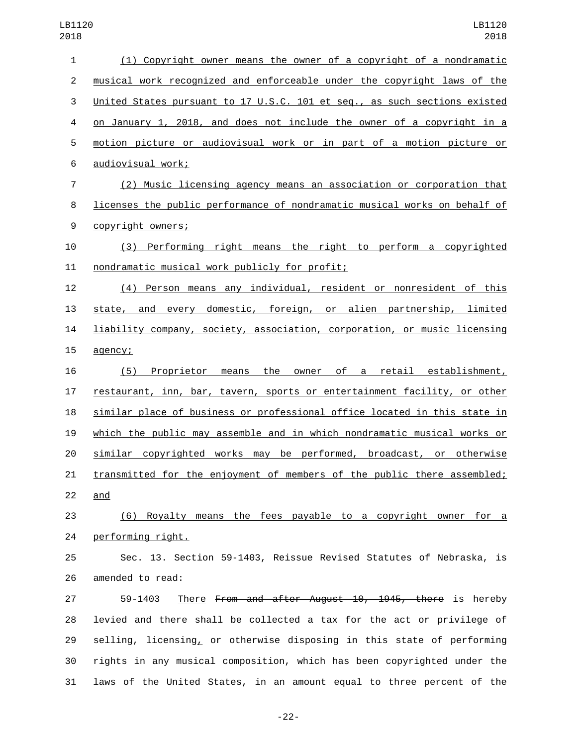| $\mathbf{1}$   | (1) Copyright owner means the owner of a copyright of a nondramatic            |
|----------------|--------------------------------------------------------------------------------|
| $\overline{2}$ | musical work recognized and enforceable under the copyright laws of the        |
| 3              | United States pursuant to 17 U.S.C. 101 et seq., as such sections existed      |
| $\overline{4}$ | on January 1, 2018, and does not include the owner of a copyright in a         |
| 5              | motion picture or audiovisual work or in part of a motion picture or           |
| $\,6$          | audiovisual work;                                                              |
| $\overline{7}$ | (2) Music licensing agency means an association or corporation that            |
| 8              | licenses the public performance of nondramatic musical works on behalf of      |
| 9              | copyright owners;                                                              |
| 10             | (3) Performing right means the right to perform a copyrighted                  |
| 11             | nondramatic musical work publicly for profit;                                  |
| 12             | (4) Person means any individual, resident or nonresident of this               |
| 13             | state, and every domestic, foreign, or alien partnership, limited              |
| 14             | liability company, society, association, corporation, or music licensing       |
| 15             | agency;                                                                        |
| 16             | (5) Proprietor means the owner of a retail establishment,                      |
| 17             | restaurant, inn, bar, tavern, sports or entertainment facility, or other       |
| 18             | similar place of business or professional office located in this state in      |
| 19             | which the public may assemble and in which nondramatic musical works or        |
| 20             | similar copyrighted works may be performed, broadcast, or otherwise            |
| 21             | <u>transmitted for the enjoyment of members of the public there assembled;</u> |
| 22             | and                                                                            |
| 23             | (6) Royalty means the fees payable to a copyright owner for a                  |
| 24             | performing right.                                                              |
| 25             | Sec. 13. Section 59-1403, Reissue Revised Statutes of Nebraska, is             |
| 26             | amended to read:                                                               |
| 27             | There From and after August 10, 1945, there is hereby<br>59-1403               |
| 28             | levied and there shall be collected a tax for the act or privilege of          |
| 29             | selling, licensing, or otherwise disposing in this state of performing         |
| 30             | rights in any musical composition, which has been copyrighted under the        |
| 31             | laws of the United States, in an amount equal to three percent of the          |
|                |                                                                                |

-22-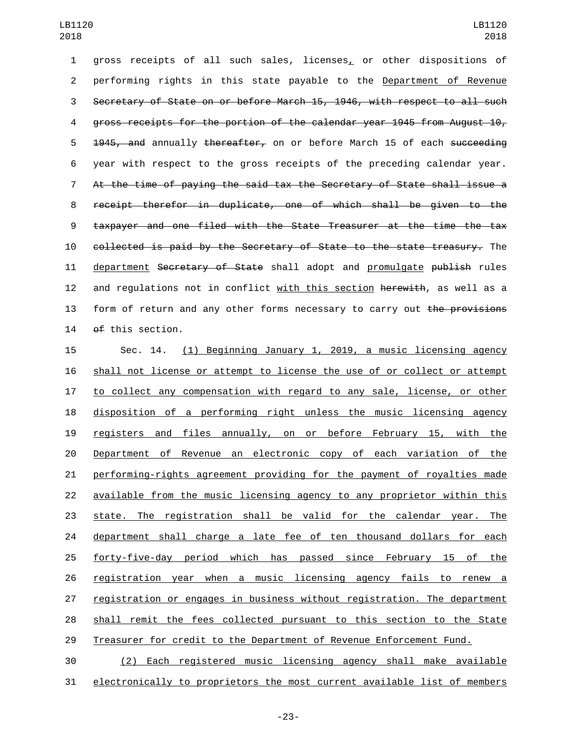gross receipts of all such sales, licenses, or other dispositions of performing rights in this state payable to the Department of Revenue Secretary of State on or before March 15, 1946, with respect to all such gross receipts for the portion of the calendar year 1945 from August 10, 5 <del>1945, and</del> annually thereafter, on or before March 15 of each succeeding year with respect to the gross receipts of the preceding calendar year. At the time of paying the said tax the Secretary of State shall issue a receipt therefor in duplicate, one of which shall be given to the taxpayer and one filed with the State Treasurer at the time the tax collected is paid by the Secretary of State to the state treasury. The 11 department Secretary of State shall adopt and promulgate publish rules 12 and regulations not in conflict with this section herewith, as well as a 13 form of return and any other forms necessary to carry out the provisions  $0$ f this section.

 Sec. 14. (1) Beginning January 1, 2019, a music licensing agency shall not license or attempt to license the use of or collect or attempt 17 to collect any compensation with regard to any sale, license, or other disposition of a performing right unless the music licensing agency registers and files annually, on or before February 15, with the Department of Revenue an electronic copy of each variation of the performing-rights agreement providing for the payment of royalties made available from the music licensing agency to any proprietor within this state. The registration shall be valid for the calendar year. The 24 department shall charge a late fee of ten thousand dollars for each forty-five-day period which has passed since February 15 of the registration year when a music licensing agency fails to renew a registration or engages in business without registration. The department shall remit the fees collected pursuant to this section to the State Treasurer for credit to the Department of Revenue Enforcement Fund.

 (2) Each registered music licensing agency shall make available electronically to proprietors the most current available list of members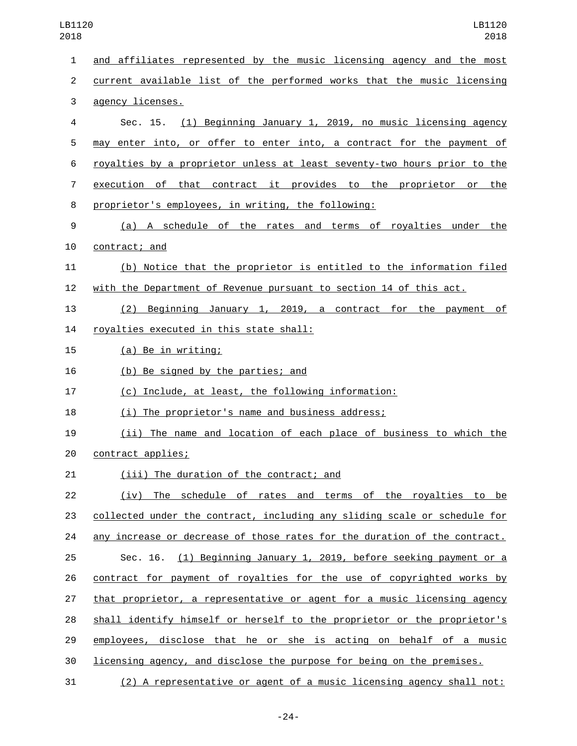| LB1120<br>2018 | LB1120<br>2018                                                            |
|----------------|---------------------------------------------------------------------------|
| 1              | and affiliates represented by the music licensing agency and the most     |
| $\overline{2}$ | current available list of the performed works that the music licensing    |
| 3              | agency licenses.                                                          |
| 4              | Sec. 15. (1) Beginning January 1, 2019, no music licensing agency         |
| 5              | may enter into, or offer to enter into, a contract for the payment of     |
| 6              | royalties by a proprietor unless at least seventy-two hours prior to the  |
| 7              | execution of that contract it provides to the proprietor or the           |
| 8              | proprietor's employees, in writing, the following:                        |
| 9              | (a) A schedule of the rates and terms of royalties under the              |
| 10             | contract; and                                                             |
| 11             | (b) Notice that the proprietor is entitled to the information filed       |
| 12             | with the Department of Revenue pursuant to section 14 of this act.        |
| 13             | (2)<br>Beginning January 1, 2019, a contract for the payment of           |
| 14             | royalties executed in this state shall:                                   |
| 15             | (a) Be in writing;                                                        |
| 16             | (b) Be signed by the parties; and                                         |
| 17             | (c) Include, at least, the following information:                         |
| 18             | (i) The proprietor's name and business address;                           |
| 19             | (ii) The name and location of each place of business to which the         |
| 20             | contract applies;                                                         |
| 21             | (iii) The duration of the contract; and                                   |
| 22             | (iv) The schedule of rates and terms of the royalties to be               |
| 23             | collected under the contract, including any sliding scale or schedule for |
| 24             | any increase or decrease of those rates for the duration of the contract. |
| 25             | Sec. 16. (1) Beginning January 1, 2019, before seeking payment or a       |
| 26             | contract for payment of royalties for the use of copyrighted works by     |
| 27             | that proprietor, a representative or agent for a music licensing agency   |
| 28             | shall identify himself or herself to the proprietor or the proprietor's   |
| 29             | employees, disclose that he or she is acting on behalf of a music         |
| 30             | licensing agency, and disclose the purpose for being on the premises.     |
| 31             | (2) A representative or agent of a music licensing agency shall not:      |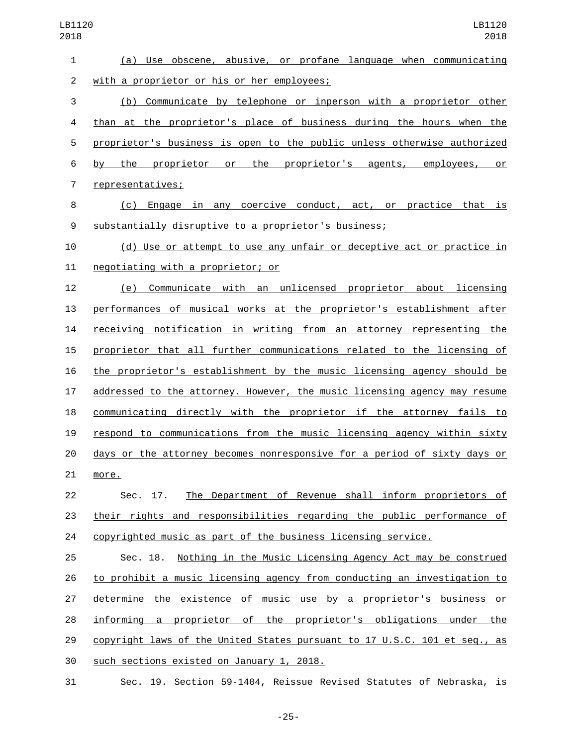| $\mathbf{1}$   | (a) Use obscene, abusive, or profane language when communicating          |
|----------------|---------------------------------------------------------------------------|
| $\overline{2}$ | with a proprietor or his or her employees;                                |
| 3              | (b) Communicate by telephone or inperson with a proprietor other          |
| 4              | than at the proprietor's place of business during the hours when the      |
| 5              | proprietor's business is open to the public unless otherwise authorized   |
| 6              | proprietor or the proprietor's agents, employees, or<br>the<br>by         |
| $\overline{7}$ | representatives;                                                          |
| 8              | (c) Engage in any coercive conduct, act, or practice that is              |
| 9              | substantially disruptive to a proprietor's business;                      |
| 10             | (d) Use or attempt to use any unfair or deceptive act or practice in      |
| 11             | negotiating with a proprietor; or                                         |
| 12             | Communicate with an unlicensed proprietor about licensing<br>(e)          |
| 13             | performances of musical works at the proprietor's establishment after     |
| 14             | receiving notification in writing from an attorney representing the       |
| 15             | proprietor that all further communications related to the licensing of    |
| 16             | the proprietor's establishment by the music licensing agency should be    |
| 17             | addressed to the attorney. However, the music licensing agency may resume |
| 18             | communicating directly with the proprietor if the attorney fails to       |
| 19             | respond to communications from the music licensing agency within sixty    |
| 20             | days or the attorney becomes nonresponsive for a period of sixty days or  |
| 21             | more.                                                                     |
| 22             | The Department of Revenue shall inform proprietors of<br>Sec. 17.         |
| 23             | their rights and responsibilities regarding the public performance of     |
| 24             | copyrighted music as part of the business licensing service.              |
| 25             | Nothing in the Music Licensing Agency Act may be construed<br>Sec. 18.    |
| 26             | to prohibit a music licensing agency from conducting an investigation to  |
| 27             | determine the existence of music use by a proprietor's business or        |
| 28             | informing a proprietor of the proprietor's obligations under the          |
| 29             | copyright laws of the United States pursuant to 17 U.S.C. 101 et seq., as |
| 30             | such sections existed on January 1, 2018.                                 |
| 31             | Sec. 19. Section 59-1404, Reissue Revised Statutes of Nebraska, is        |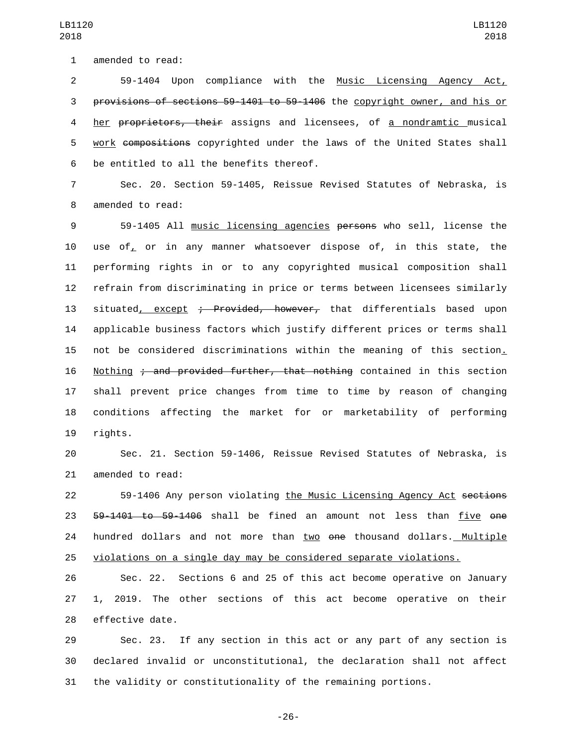59-1404 Upon compliance with the Music Licensing Agency Act, provisions of sections 59-1401 to 59-1406 the copyright owner, and his or her proprietors, their assigns and licensees, of a nondramtic musical 5 work compositions copyrighted under the laws of the United States shall 6 be entitled to all the benefits thereof.

 Sec. 20. Section 59-1405, Reissue Revised Statutes of Nebraska, is 8 amended to read:

 59-1405 All music licensing agencies persons who sell, license the use of, or in any manner whatsoever dispose of, in this state, the performing rights in or to any copyrighted musical composition shall refrain from discriminating in price or terms between licensees similarly 13 situated, except ; Provided, however, that differentials based upon applicable business factors which justify different prices or terms shall not be considered discriminations within the meaning of this section. 16 Nothing ; and provided further, that nothing contained in this section shall prevent price changes from time to time by reason of changing conditions affecting the market for or marketability of performing 19 rights.

 Sec. 21. Section 59-1406, Reissue Revised Statutes of Nebraska, is 21 amended to read:

 59-1406 Any person violating the Music Licensing Agency Act sections 23 59-1401 to 59-1406 shall be fined an amount not less than five one 24 hundred dollars and not more than two one thousand dollars. Multiple violations on a single day may be considered separate violations.

 Sec. 22. Sections 6 and 25 of this act become operative on January 1, 2019. The other sections of this act become operative on their 28 effective date.

 Sec. 23. If any section in this act or any part of any section is declared invalid or unconstitutional, the declaration shall not affect the validity or constitutionality of the remaining portions.

-26-